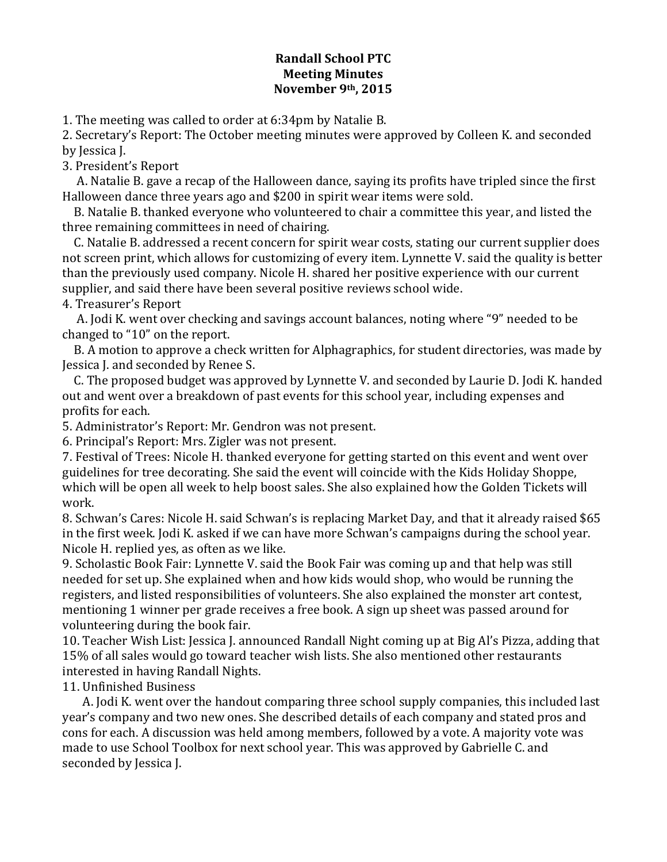## **Randall School PTC Meeting Minutes November 9th, 2015**

1. The meeting was called to order at 6:34pm by Natalie B.

2. Secretary's Report: The October meeting minutes were approved by Colleen K. and seconded by Iessica I.

3. President's Report

A. Natalie B. gave a recap of the Halloween dance, saying its profits have tripled since the first Halloween dance three years ago and \$200 in spirit wear items were sold.

B. Natalie B. thanked everyone who volunteered to chair a committee this year, and listed the three remaining committees in need of chairing.

C. Natalie B. addressed a recent concern for spirit wear costs, stating our current supplier does not screen print, which allows for customizing of every item. Lynnette V. said the quality is better than the previously used company. Nicole H. shared her positive experience with our current supplier, and said there have been several positive reviews school wide. 4. Treasurer's Report

A. Jodi K. went over checking and savings account balances, noting where "9" needed to be changed to "10" on the report.

B. A motion to approve a check written for Alphagraphics, for student directories, was made by Jessica J. and seconded by Renee S.

C. The proposed budget was approved by Lynnette V. and seconded by Laurie D. Jodi K. handed out and went over a breakdown of past events for this school year, including expenses and profits for each.

5. Administrator's Report: Mr. Gendron was not present.

6. Principal's Report: Mrs. Zigler was not present.

7. Festival of Trees: Nicole H. thanked everyone for getting started on this event and went over guidelines for tree decorating. She said the event will coincide with the Kids Holiday Shoppe, which will be open all week to help boost sales. She also explained how the Golden Tickets will work.

8. Schwan's Cares: Nicole H. said Schwan's is replacing Market Day, and that it already raised \$65 in the first week. Jodi K. asked if we can have more Schwan's campaigns during the school year. Nicole H. replied yes, as often as we like.

9. Scholastic Book Fair: Lynnette V. said the Book Fair was coming up and that help was still needed for set up. She explained when and how kids would shop, who would be running the registers, and listed responsibilities of volunteers. She also explained the monster art contest, mentioning 1 winner per grade receives a free book. A sign up sheet was passed around for volunteering during the book fair.

10. Teacher Wish List: Jessica J. announced Randall Night coming up at Big Al's Pizza, adding that 15% of all sales would go toward teacher wish lists. She also mentioned other restaurants interested in having Randall Nights.

11. Unfinished Business

A. Jodi K. went over the handout comparing three school supply companies, this included last year's company and two new ones. She described details of each company and stated pros and cons for each. A discussion was held among members, followed by a vote. A majority vote was made to use School Toolbox for next school year. This was approved by Gabrielle C. and seconded by Jessica J.